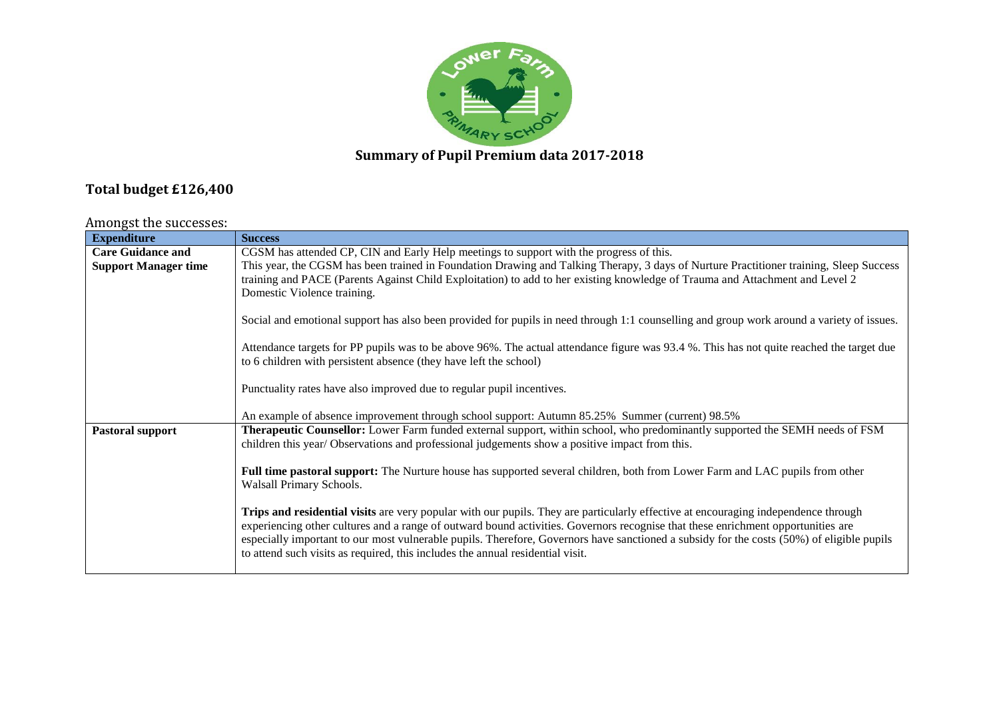

## **Summary of Pupil Premium data 2017-2018**

## **Total budget £126,400**

## Amongst the successes:

| <b>Expenditure</b>          | <b>Success</b>                                                                                                                            |
|-----------------------------|-------------------------------------------------------------------------------------------------------------------------------------------|
| <b>Care Guidance and</b>    | CGSM has attended CP, CIN and Early Help meetings to support with the progress of this.                                                   |
| <b>Support Manager time</b> | This year, the CGSM has been trained in Foundation Drawing and Talking Therapy, 3 days of Nurture Practitioner training, Sleep Success    |
|                             | training and PACE (Parents Against Child Exploitation) to add to her existing knowledge of Trauma and Attachment and Level 2              |
|                             | Domestic Violence training.                                                                                                               |
|                             |                                                                                                                                           |
|                             | Social and emotional support has also been provided for pupils in need through 1:1 counselling and group work around a variety of issues. |
|                             |                                                                                                                                           |
|                             | Attendance targets for PP pupils was to be above 96%. The actual attendance figure was 93.4 %. This has not quite reached the target due  |
|                             | to 6 children with persistent absence (they have left the school)                                                                         |
|                             |                                                                                                                                           |
|                             | Punctuality rates have also improved due to regular pupil incentives.                                                                     |
|                             |                                                                                                                                           |
|                             | An example of absence improvement through school support: Autumn 85.25% Summer (current) 98.5%                                            |
| Pastoral support            | Therapeutic Counsellor: Lower Farm funded external support, within school, who predominantly supported the SEMH needs of FSM              |
|                             | children this year/ Observations and professional judgements show a positive impact from this.                                            |
|                             |                                                                                                                                           |
|                             | Full time pastoral support: The Nurture house has supported several children, both from Lower Farm and LAC pupils from other              |
|                             | Walsall Primary Schools.                                                                                                                  |
|                             | Trips and residential visits are very popular with our pupils. They are particularly effective at encouraging independence through        |
|                             | experiencing other cultures and a range of outward bound activities. Governors recognise that these enrichment opportunities are          |
|                             | especially important to our most vulnerable pupils. Therefore, Governors have sanctioned a subsidy for the costs (50%) of eligible pupils |
|                             | to attend such visits as required, this includes the annual residential visit.                                                            |
|                             |                                                                                                                                           |
|                             |                                                                                                                                           |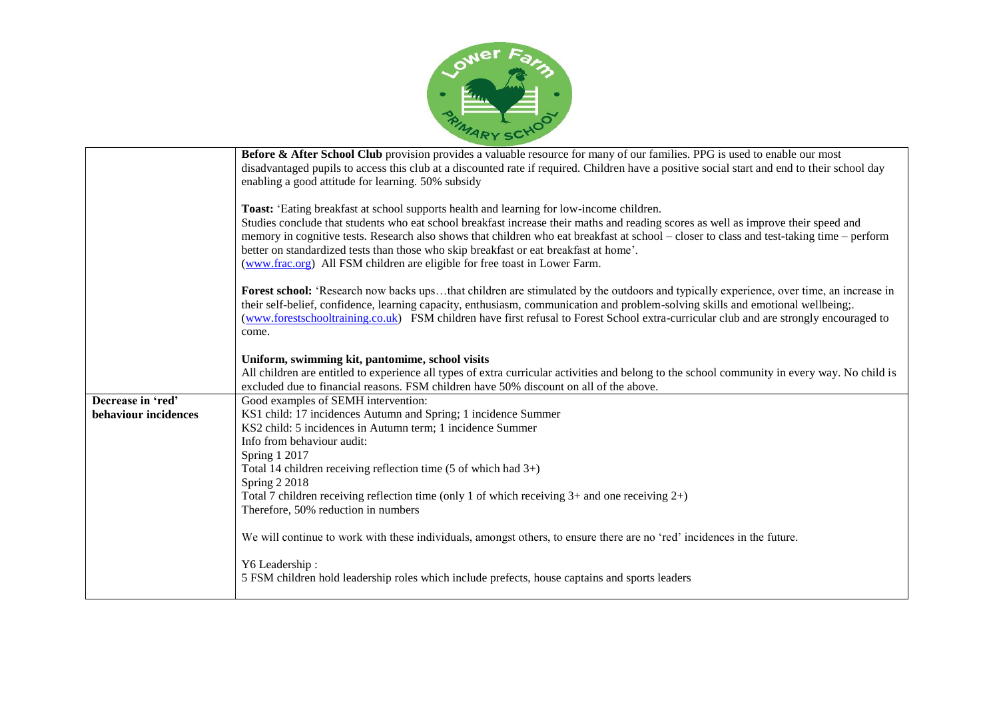

|                                           | Before & After School Club provision provides a valuable resource for many of our families. PPG is used to enable our most<br>disadvantaged pupils to access this club at a discounted rate if required. Children have a positive social start and end to their school day<br>enabling a good attitude for learning. 50% subsidy                                                                                                                                                                                                                   |
|-------------------------------------------|----------------------------------------------------------------------------------------------------------------------------------------------------------------------------------------------------------------------------------------------------------------------------------------------------------------------------------------------------------------------------------------------------------------------------------------------------------------------------------------------------------------------------------------------------|
|                                           | Toast: 'Eating breakfast at school supports health and learning for low-income children.<br>Studies conclude that students who eat school breakfast increase their maths and reading scores as well as improve their speed and<br>memory in cognitive tests. Research also shows that children who eat breakfast at school – closer to class and test-taking time – perform<br>better on standardized tests than those who skip breakfast or eat breakfast at home'.<br>(www.frac.org) All FSM children are eligible for free toast in Lower Farm. |
|                                           | Forest school: 'Research now backs upsthat children are stimulated by the outdoors and typically experience, over time, an increase in<br>their self-belief, confidence, learning capacity, enthusiasm, communication and problem-solving skills and emotional wellbeing;.<br>(www.forestschooltraining.co.uk) FSM children have first refusal to Forest School extra-curricular club and are strongly encouraged to<br>come.                                                                                                                      |
|                                           | Uniform, swimming kit, pantomime, school visits<br>All children are entitled to experience all types of extra curricular activities and belong to the school community in every way. No child is<br>excluded due to financial reasons. FSM children have 50% discount on all of the above.                                                                                                                                                                                                                                                         |
| Decrease in 'red'<br>behaviour incidences | Good examples of SEMH intervention:<br>KS1 child: 17 incidences Autumn and Spring; 1 incidence Summer<br>KS2 child: 5 incidences in Autumn term; 1 incidence Summer<br>Info from behaviour audit:<br>Spring 1 2017<br>Total 14 children receiving reflection time $(5 \text{ of which had } 3+)$<br>Spring 2 2018<br>Total 7 children receiving reflection time (only 1 of which receiving $3+$ and one receiving $2+$ )<br>Therefore, 50% reduction in numbers                                                                                    |
|                                           | We will continue to work with these individuals, amongst others, to ensure there are no 'red' incidences in the future.<br>Y6 Leadership:<br>5 FSM children hold leadership roles which include prefects, house captains and sports leaders                                                                                                                                                                                                                                                                                                        |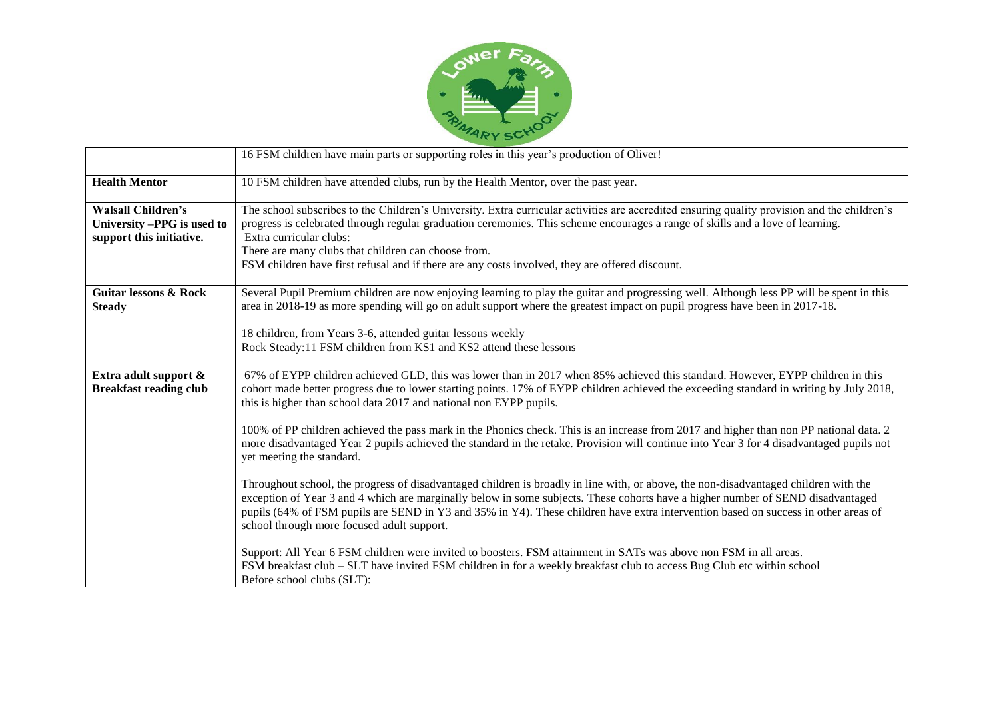

|                                                                                     | 16 FSM children have main parts or supporting roles in this year's production of Oliver!                                                                                                                                                                                                                                                                                                                                                                                                                                                                                                                                                                                                                                                                                                                                                                                                                                                                                                                                                                                                                                                                                                                                                                                                                                                                                                                       |
|-------------------------------------------------------------------------------------|----------------------------------------------------------------------------------------------------------------------------------------------------------------------------------------------------------------------------------------------------------------------------------------------------------------------------------------------------------------------------------------------------------------------------------------------------------------------------------------------------------------------------------------------------------------------------------------------------------------------------------------------------------------------------------------------------------------------------------------------------------------------------------------------------------------------------------------------------------------------------------------------------------------------------------------------------------------------------------------------------------------------------------------------------------------------------------------------------------------------------------------------------------------------------------------------------------------------------------------------------------------------------------------------------------------------------------------------------------------------------------------------------------------|
| <b>Health Mentor</b>                                                                | 10 FSM children have attended clubs, run by the Health Mentor, over the past year.                                                                                                                                                                                                                                                                                                                                                                                                                                                                                                                                                                                                                                                                                                                                                                                                                                                                                                                                                                                                                                                                                                                                                                                                                                                                                                                             |
| <b>Walsall Children's</b><br>University -PPG is used to<br>support this initiative. | The school subscribes to the Children's University. Extra curricular activities are accredited ensuring quality provision and the children's<br>progress is celebrated through regular graduation ceremonies. This scheme encourages a range of skills and a love of learning.<br>Extra curricular clubs:<br>There are many clubs that children can choose from.<br>FSM children have first refusal and if there are any costs involved, they are offered discount.                                                                                                                                                                                                                                                                                                                                                                                                                                                                                                                                                                                                                                                                                                                                                                                                                                                                                                                                            |
| <b>Guitar lessons &amp; Rock</b><br><b>Steady</b>                                   | Several Pupil Premium children are now enjoying learning to play the guitar and progressing well. Although less PP will be spent in this<br>area in 2018-19 as more spending will go on adult support where the greatest impact on pupil progress have been in 2017-18.<br>18 children, from Years 3-6, attended guitar lessons weekly<br>Rock Steady:11 FSM children from KS1 and KS2 attend these lessons                                                                                                                                                                                                                                                                                                                                                                                                                                                                                                                                                                                                                                                                                                                                                                                                                                                                                                                                                                                                    |
| Extra adult support &<br><b>Breakfast reading club</b>                              | 67% of EYPP children achieved GLD, this was lower than in 2017 when 85% achieved this standard. However, EYPP children in this<br>cohort made better progress due to lower starting points. 17% of EYPP children achieved the exceeding standard in writing by July 2018,<br>this is higher than school data 2017 and national non EYPP pupils.<br>100% of PP children achieved the pass mark in the Phonics check. This is an increase from 2017 and higher than non PP national data. 2<br>more disadvantaged Year 2 pupils achieved the standard in the retake. Provision will continue into Year 3 for 4 disadvantaged pupils not<br>yet meeting the standard.<br>Throughout school, the progress of disadvantaged children is broadly in line with, or above, the non-disadvantaged children with the<br>exception of Year 3 and 4 which are marginally below in some subjects. These cohorts have a higher number of SEND disadvantaged<br>pupils (64% of FSM pupils are SEND in Y3 and 35% in Y4). These children have extra intervention based on success in other areas of<br>school through more focused adult support.<br>Support: All Year 6 FSM children were invited to boosters. FSM attainment in SATs was above non FSM in all areas.<br>FSM breakfast club – SLT have invited FSM children in for a weekly breakfast club to access Bug Club etc within school<br>Before school clubs (SLT): |